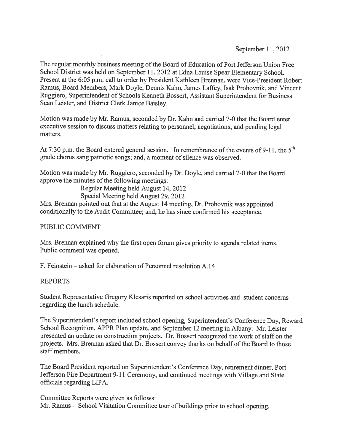September 11,2012

The regular monthly business meeting of the Board of Education of Port Jefferson Union Free School District was held on September 11, 2012 at Edna Louise Spear Elementary School. Present at the 6:05 p.m. call to order by President Kathleen Brennan, were Vice-President Robert Ramus, Board Members, Mark Doyle, Dennis Kahn, James Laffey, Isak Prohovnik, and Vincent Ruggiero, Superintendent of Schools Kenneth Bossert, Assistant Superintendent for Business Sean Leister, and District Clerk Janice Baisley.

Motion was made by Mr. Ramus, seconded by Dr. Kahn and carried 7-0 that the Board enter executive session to discuss matters relating to personnel, negotiations, and pending legal matters.

At 7:30 p.m. the Board entered general session. In remembrance of the events of 9-11, the  $5<sup>th</sup>$ grade chorus sang patriotic songs; and, a moment of silence was observed.

Motion was made by Mr. Ruggiero, seconded by Dr. Doyle, and carried 7-0 that the Board approve the minutes of the following meetings:

Regular Meeting held August 14, 2012

Special Meeting held August 29, 2012

Mrs. Brennan pointed out that at the August <sup>14</sup> meeting, Dr. Prohovnik was appointed conditionally to the Audit Committee; and, he has since confirmed his acceptance.

PUBLIC COMMENT

Mrs. Brennan explained why the first open forum <sup>g</sup>ives priority to agenda related items. Public comment was opened.

F. Feinstein — asked for elaboration of Personnel resolution A.14

# REPORTS

Student Representative Gregory Klesaris reported on school activities and student concerns regarding the lunch schedule.

The Superintendent's repor<sup>t</sup> included school opening, Superintendent's Conference Day, Reward School Recognition, APPR Plan update, and September <sup>12</sup> meeting in Albany. Mr. Leister presented an update on construction projects. Dr. Bossert recognized the work of staff on the projects. Mrs. Brennan asked that Dr. Bossert convey thanks on behalf of the Board to those staff members.

The Board President reported on Superintendent's Conference Day, retirement dinner, Port Jefferson Fire Department 9-11 Ceremony, and continued meetings with Village and State officials regarding LIPA.

Committee Reports were given as follows: Mr. Ramus - School Visitation Committee tour of buildings prior to school opening.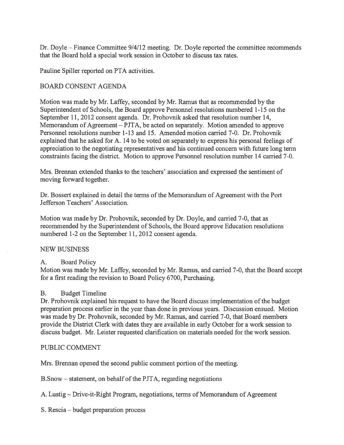Dr. Doyle — Finance Committee 9/4/12 meeting. Dr. Doyle reported the committee recommends that the Board hold <sup>a</sup> special work session in October to discuss tax rates.

Pauline Spiller reported on PTA activities.

# BOARD CONSENT AGENDA

Motion was made by Mr. Laffey, seconded by Mr. Ramus that as recommended by the Superintendent of Schools, the Board approve Personnel resolutions numbered 1-15 on the September 11, 2012 consent agenda. Dr. Prohovnik asked that resolution number 14, Memorandum of Agreement — PJTA, be acted on separately. Motion amended to approve Personnel resolutions number 1-13 and 15. Amended motion carried 7-0. Dr. Prohovnik explained that he asked for A. 14 to be voted on separately to express his personal feelings of appreciation to the negotiating representatives and his continued concern with future long term constraints facing the district. Motion to approve Personnel resolution number 14 carried 7-0.

Mrs. Brennan extended thanks to the teachers' association and expressed the sentiment of moving forward together.

Dr. Bossert explained in detail the terms of the Memorandum of Agreement with the Port Jefferson Teachers' Association.

Motion was made by Dr. Prohovnik, seconded by Dr. Doyle, and carried 7-0, that as recommended by the Superintendent of Schools, the Board approve Education resolutions numbered 1-2 on the September 11, 2012 consent agenda.

# NEW BUSiNESS

# A. Board Policy

Motion was made by Mr. Laffey, seconded by Mr. Ramus, and carried 7-0, that the Board accep<sup>t</sup> for <sup>a</sup> first reading the revision to Board Policy 6700, Purchasing.

# B. Budget Timeline

Dr. Prohovnik explained his request to have the Board discuss implementation of the budget preparation process earlier in the year than done in previous years. Discussion ensued. Motion was made by Dr. Prohovnik, seconded by Mr. Ramus, and carried 7-0, that Board members provide the District Clerk with dates they are available in early October for <sup>a</sup> work session to discuss budget. Mr. Leister requested clarification on materials needed for the work session.

# PUBLIC COMMENT

Mrs. Brennan opened the second public comment portion of the meeting.

B.Snow — statement, on behalf of the PJTA, regarding negotiations

A. Lustig — Drive-it-Right Program, negotiations, terms of Memorandum of Agreement

S. Rescia — budget preparation process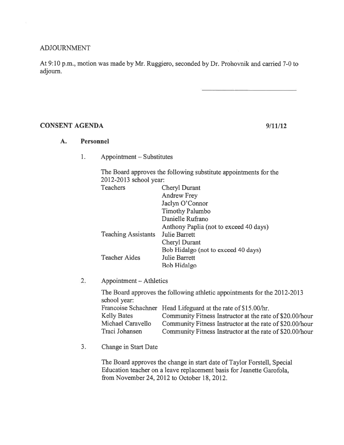### ADJOURNMENT

At 9:10 p.m., motion was made by Mr. Ruggiero, seconded by Dr. Prohovnik and carried 7-0 to adjourn.

### CONSENT AGENDA 9/11/12

### A. Personnel

1. Appointment — Substitutes

The Board approves the following substitute appointments for the 2012-2013 school year:

| Teachers                   | Cheryl Durant                          |
|----------------------------|----------------------------------------|
|                            | <b>Andrew Frey</b>                     |
|                            | Jaclyn O'Connor                        |
|                            | <b>Timothy Palumbo</b>                 |
|                            | Danielle Rufrano                       |
|                            | Anthony Paplia (not to exceed 40 days) |
| <b>Teaching Assistants</b> | <b>Julie Barrett</b>                   |
|                            | Cheryl Durant                          |
|                            | Bob Hidalgo (not to exceed 40 days)    |
| <b>Teacher Aides</b>       | Julie Barrett                          |
|                            | Bob Hidalgo                            |

2. Appointment — Athletics

The Board approves the following athletic appointments for the 2012-2013 school year: Francoise Schachner Head Lifeguard at the rate of \$15.00/hr. Kelly Bates Michael Caravello Community Fitness Instructor at the rate of \$20.00/hour Community Fitness Instructor at the rate of \$20.00/hour Community Fitness Instructor at the rate of \$20.00/hour Traci Johansen

3. Change in Start Date

The Board approves the change in start date of Taylor Forstell, Special Education teacher on <sup>a</sup> leave replacement basis for Jeanette Garofola, from November 24, 2012 to October 18, 2012.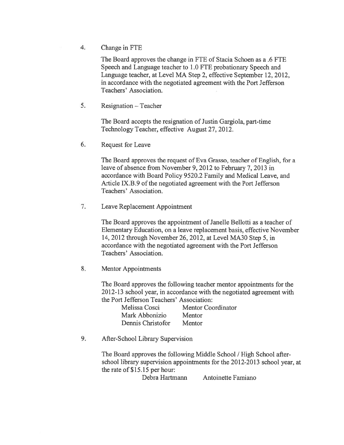4. Change in FTE

The Board approves the change in FTE of Stacia Schoen as <sup>a</sup> .6 FTE Speech and Language teacher to 1.0 FTE probationary Speech and Language teacher, at Level MA Step 2, effective September 12, 2012, in accordance with the negotiated agreemen<sup>t</sup> with the Port Jefferson Teachers' Association.

5. Resignation — Teacher

The Board accepts the resignation of Justin Gargiola, part-time Technology Teacher, effective August 27, 2012.

6. Request for Leave

The Board approves the reques<sup>t</sup> of Eva Grasso, teacher of English, for <sup>a</sup> leave of absence from November 9, 2012 to February 7, 2013 in accordance with Board Policy 9520.2 Family and Medical Leave, and Article IX.B.9 of the negotiated agreement with the Port Jefferson Teachers' Association.

7. Leave Replacement Appointment

The Board approves the appointment of Janelle Bellotti as a teacher of Elementary Education, on <sup>a</sup> leave replacement basis, effective November 14, 2012 through November 26, 2012, at Level MA3O Step 5, in accordance with the negotiated agreemen<sup>t</sup> with the Port Jefferson Teachers' Association.

8. Mentor Appointments

The Board approves the following teacher mentor appointments for the 2012-13 school year, in accordance with the negotiated agreemen<sup>t</sup> with the Port Jefferson Teachers' Association:

| Melissa Cosci     | <b>Mentor Coordinator</b> |
|-------------------|---------------------------|
| Mark Abbonizio    | Mentor                    |
| Dennis Christofor | Mentor                    |

9. After-School Library Supervision

The Board approves the following Middle School / High School after school library supervision appointments for the 2012-2013 school year, at the rate of \$15.15 per hour:

Debra Hartmann Antoinette Famiano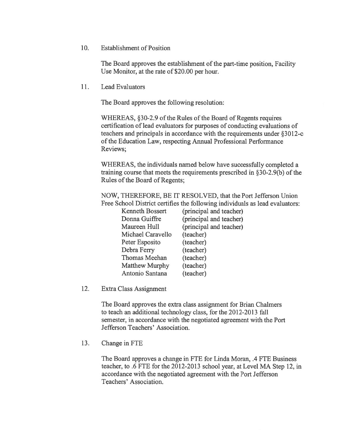10. Establishment of Position

The Board approves the establishment of the part-time position, Facility Use Monitor, at the rate of \$20.00 per hour.

11. Lead Evaluators

The Board approves the following resolution:

WHEREAS, §30-2.9 of the Rules of the Board of Regents requires certification of lead evaluators for purposes of conducting evaluations of teachers and principals in accordance with the requirements under §3012-c of the Education Law, respecting Annual Professional Performance Reviews;

WHEREAS, the individuals named below have successfully completed <sup>a</sup> training course that meets the requirements prescribed in §30-2.9(b) of the Rules of the Board of Regents;

NOW, THEREFORE, BE IT RESOLVED, that the Port Jefferson Union Free School District certifies the following individuals as lead evaluators:

| <b>Kenneth Bossert</b> | (principal and teacher) |
|------------------------|-------------------------|
| Donna Guiffre          | (principal and teacher) |
| Maureen Hull           | (principal and teacher) |
| Michael Caravello      | (teacher)               |
| Peter Esposito         | (teacher)               |
| Debra Ferry            | (teacher)               |
| Thomas Meehan          | (teacher)               |
| Matthew Murphy         | (teacher)               |
| Antonio Santana        | (teacher)               |
|                        |                         |

12. Extra Class Assignment

The Board approves the extra class assignment for Brian Chalmers to teach an additional technology class, for the 2012-2013 fall semester, in accordance with the negotiated agreemen<sup>t</sup> with the Port Jefferson Teachers' Association.

13. Change in FTE

The Board approves <sup>a</sup> change in FTE for Linda Moran, .4 FTE Business teacher, to .6 FTE for the 2012-2013 school year, at Level MA Step 12, in accordance with the negotiated agreemen<sup>t</sup> with the Port Jefferson Teachers' Association.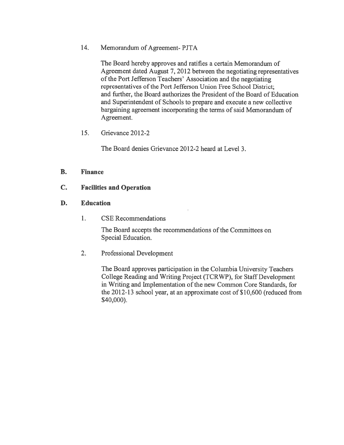14. Memorandum of Agreement- PJTA

The Board hereby approves and ratifies <sup>a</sup> certain Memorandum of Agreement dated August 7, 2012 between the negotiating representatives of the Port Jefferson Teachers' Association and the negotiating representatives of the Port Jefferson Union Free School District; and further, the Board authorizes the President of the Board of Education and Superintendent of Schools to prepare and execute <sup>a</sup> new collective bargaining agreement incorporating the terms of said Memorandum of Agreement.

15. Grievance 2012-2

The Board denies Grievance 2012-2 heard at Level 3.

# B. Finance

# C. Facilities and Operation

# D. Education

1. CSE Recommendations

The Board accepts the recommendations of the Committees on Special Education.

2. Professional Development

The Board approves participation in the Columbia University Teachers College Reading and Writing Project (TCRWP), for Staff Development in Writing and Implementation of the new Common Core Standards, for the 2012-13 school year, at an approximate cost of \$10,600 (reduced from \$40,000).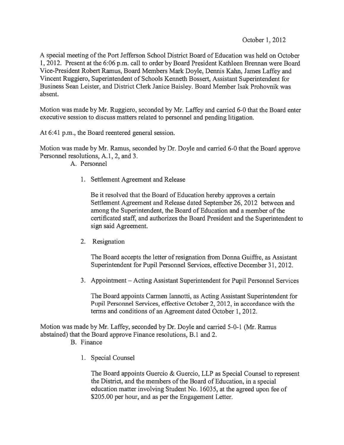A special meeting of the Port Jefferson School District Board of Education was held on October 1, 2012. Present at the 6:06 p.m. call to order by Board President Kathleen Brennan were Board Vice-President Robert Ramus, Board Members Mark Doyle, Dennis Kahn, James Laffey and Vincent Ruggiero, Superintendent of Schools Kenneth Bossert, Assistant Superintendent for Business Sean Leister, and District Clerk Janice Baisley. Board Member Isak Prohovnik was absent.

Motion was made by Mr. Ruggiero, seconded by Mr. Laffey and carried 6-0 that the Board enter executive session to discuss matters related to personnel and pending litigation.

At 6:41 p.m., the Board reentered general session.

Motion was made by Mr. Ramus, seconded by Dr. Doyle and carried 6-0 that the Board approve Personnel resolutions, A.1, 2, and 3.

A. Personnel

1. Settlement Agreement and Release

Be it resolved that the Board of Education hereby approves <sup>a</sup> certain Settlement Agreement and Release dated September 26, 2012 between and among the Superintendent, the Board of Education and a member of the certificated staff, and authorizes the Board President and the Superintendent to sign said Agreement.

2. Resignation

The Board accepts the letter of resignation from Donna Guiffre, as Assistant Superintendent for Pupil Personnel Services, effective December 31, 2012.

3. Appointment — Acting Assistant Superintendent for Pupil Personnel Services

The Board appoints Carmen lannotti, as Acting Assistant Superintendent for Pupil Personnel Services, effective October 2, 2012, in accordance with the terms and conditions of an Agreement dated October 1, 2012.

Motion was made by Mr. Laffey, seconded by Dr. Doyle and carried 5-0-1 (Mr. Ramus abstained) that the Board approve Finance resolutions, B. 1 and 2.

- B. Finance
	- 1. Special Counsel

The Board appoints Guercio & Guercio, LLP as Special Counsel to represen<sup>t</sup> the District, and the members of the Board of Education, in <sup>a</sup> special education matter involving Student No. 16035, at the agreed upon fee of \$205.00 per hour, and as per the Engagement Letter.